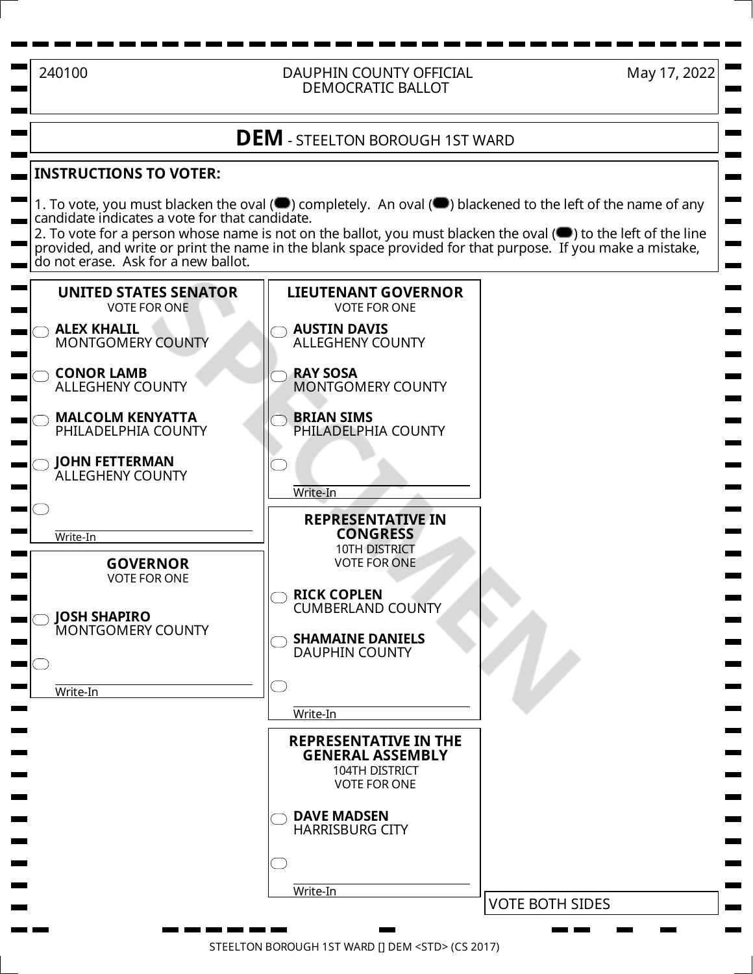## 240100 DAUPHIN COUNTY OFFICIAL DEMOCRATIC BALLOT

May 17, 2022

## **DEM** - STEELTON BOROUGH 1ST WARD

## **INSTRUCTIONS TO VOTER:**

1. To vote, you must blacken the oval ( $\blacksquare$ ) completely. An oval ( $\blacksquare$ ) blackened to the left of the name of any candidate indicates a vote for that candidate.

2. To vote for a person whose name is not on the ballot, you must blacken the oval  $($ **)** to the left of the line provided, and write or print the name in the blank space provided for that purpose. If you make a mistake, do not erase. Ask for a new ballot.